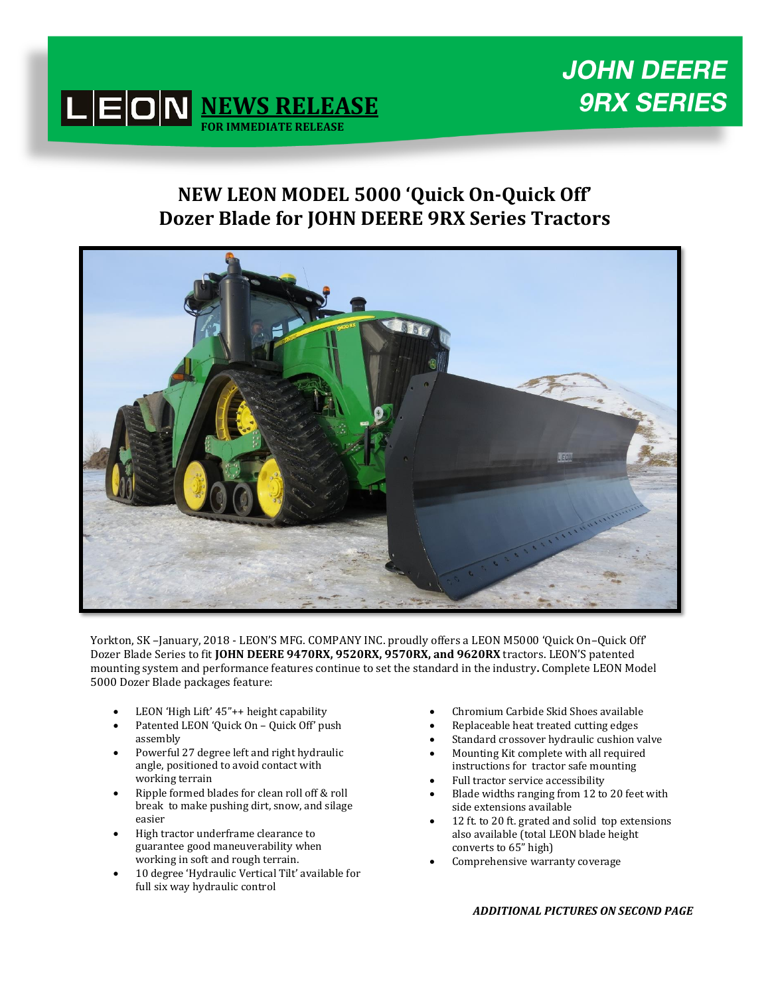



## **NEW LEON MODEL 5000 'Quick On-Quick Off' Dozer Blade for JOHN DEERE 9RX Series Tractors**



Yorkton, SK –January, 2018 - LEON'S MFG. COMPANY INC. proudly offers a LEON M5000 'Quick On–Quick Off' Dozer Blade Series to fit **JOHN DEERE 9470RX, 9520RX, 9570RX, and 9620RX** tractors. LEON'S patented mounting system and performance features continue to set the standard in the industry**.** Complete LEON Model 5000 Dozer Blade packages feature:

- LEON 'High Lift' 45"++ height capability
- Patented LEON 'Quick On Quick Off' push assembly
- Powerful 27 degree left and right hydraulic angle, positioned to avoid contact with working terrain
- Ripple formed blades for clean roll off & roll break to make pushing dirt, snow, and silage easier
- High tractor underframe clearance to guarantee good maneuverability when working in soft and rough terrain.
- 10 degree 'Hydraulic Vertical Tilt' available for full six way hydraulic control
- Chromium Carbide Skid Shoes available
- Replaceable heat treated cutting edges
- Standard crossover hydraulic cushion valve
- Mounting Kit complete with all required instructions for tractor safe mounting
- Full tractor service accessibility
- Blade widths ranging from 12 to 20 feet with side extensions available
- 12 ft. to 20 ft. grated and solid top extensions also available (total LEON blade height converts to 65" high)
- Comprehensive warranty coverage

## *ADDITIONAL PICTURES ON SECOND PAGE*